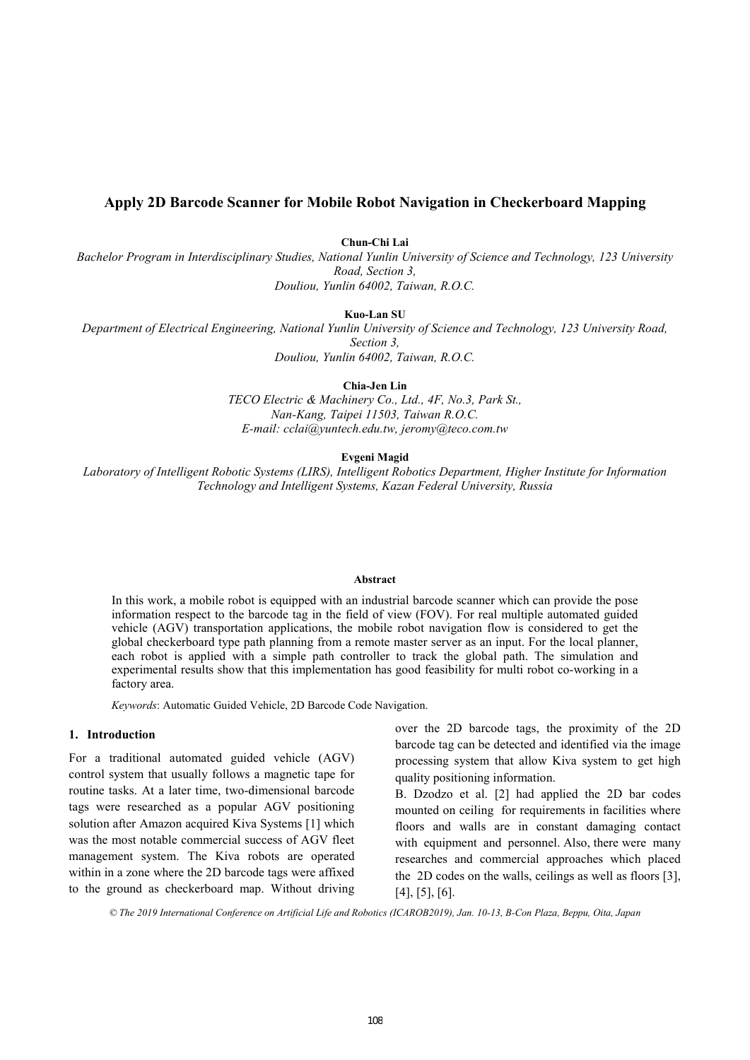## **Apply 2D Barcode Scanner for Mobile Robot Navigation in Checkerboard Mapping**

**Chun-Chi Lai** 

*Bachelor Program in Interdisciplinary Studies, National Yunlin University of Science and Technology, 123 University Road, Section 3, Douliou, Yunlin 64002, Taiwan, R.O.C.* 

**Kuo-Lan SU** 

*Department of Electrical Engineering, National Yunlin University of Science and Technology, 123 University Road, Section 3, Douliou, Yunlin 64002, Taiwan, R.O.C.* 

**Chia-Jen Lin** 

*TECO Electric & Machinery Co., Ltd., 4F, No.3, Park St., Nan-Kang, Taipei 11503, Taiwan R.O.C. E-mail: cclai@yuntech.edu.tw, jeromy@teco.com.tw* 

**Evgeni Magid** 

*Laboratory of Intelligent Robotic Systems (LIRS), Intelligent Robotics Department, Higher Institute for Information Technology and Intelligent Systems, Kazan Federal University, Russia* 

#### **Abstract**

In this work, a mobile robot is equipped with an industrial barcode scanner which can provide the pose information respect to the barcode tag in the field of view (FOV). For real multiple automated guided vehicle (AGV) transportation applications, the mobile robot navigation flow is considered to get the global checkerboard type path planning from a remote master server as an input. For the local planner, each robot is applied with a simple path controller to track the global path. The simulation and experimental results show that this implementation has good feasibility for multi robot co-working in a factory area.

*Keywords*: Automatic Guided Vehicle, 2D Barcode Code Navigation.

### **1. Introduction**

For a traditional automated guided vehicle (AGV) control system that usually follows a magnetic tape for routine tasks. At a later time, two-dimensional barcode tags were researched as a popular AGV positioning solution after Amazon acquired Kiva Systems [1] which was the most notable commercial success of AGV fleet management system. The Kiva robots are operated within in a zone where the 2D barcode tags were affixed to the ground as checkerboard map. Without driving

over the 2D barcode tags, the proximity of the 2D barcode tag can be detected and identified via the image processing system that allow Kiva system to get high quality positioning information.

B. Dzodzo et al. [2] had applied the 2D bar codes mounted on ceiling for requirements in facilities where floors and walls are in constant damaging contact with equipment and personnel. Also, there were many researches and commercial approaches which placed the 2D codes on the walls, ceilings as well as floors [3], [4], [5], [6].

*© The 2019 International Conference on Artificial Life and Robotics (ICAROB2019), Jan. 10-13, B-Con Plaza, Beppu, Oita, Japan*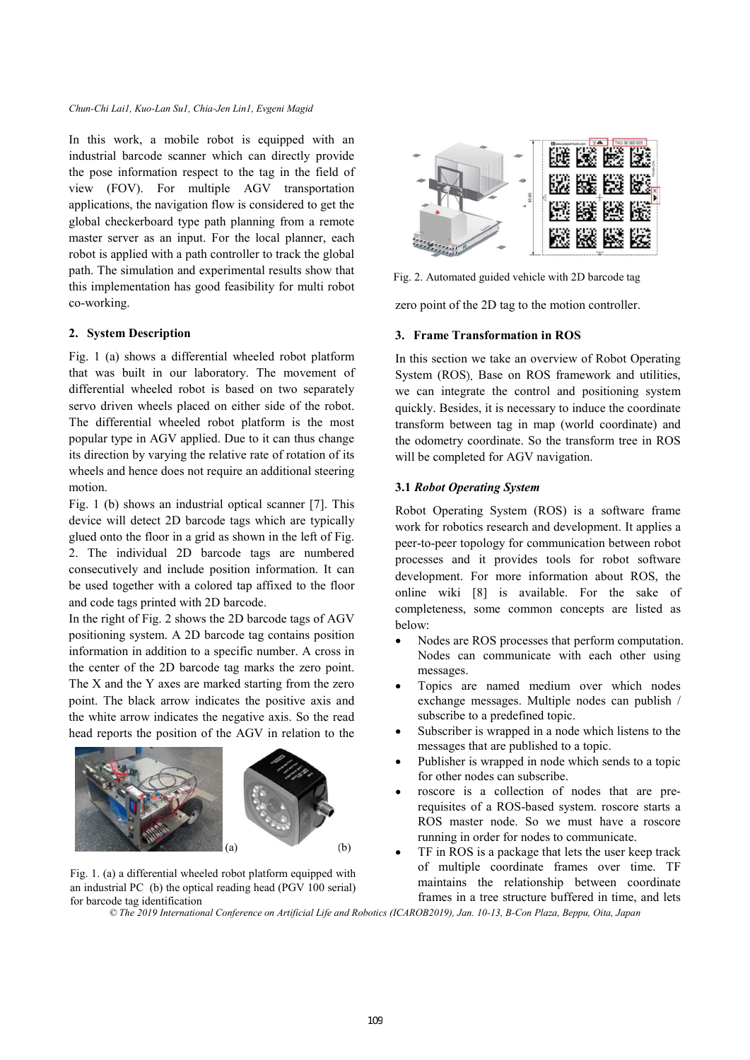In this work, a mobile robot is equipped with an industrial barcode scanner which can directly provide the pose information respect to the tag in the field of view (FOV). For multiple AGV transportation applications, the navigation flow is considered to get the global checkerboard type path planning from a remote master server as an input. For the local planner, each robot is applied with a path controller to track the global path. The simulation and experimental results show that this implementation has good feasibility for multi robot co-working.

### **2. System Description**

Fig. 1 (a) shows a differential wheeled robot platform that was built in our laboratory. The movement of differential wheeled robot is based on two separately servo driven wheels placed on either side of the robot. The differential wheeled robot platform is the most popular type in AGV applied. Due to it can thus change its direction by varying the relative rate of rotation of its wheels and hence does not require an additional steering motion.

Fig. 1 (b) shows an industrial optical scanner [7]. This device will detect 2D barcode tags which are typically glued onto the floor in a grid as shown in the left of Fig. 2. The individual 2D barcode tags are numbered consecutively and include position information. It can be used together with a colored tap affixed to the floor and code tags printed with 2D barcode.

In the right of Fig. 2 shows the 2D barcode tags of AGV positioning system. A 2D barcode tag contains position information in addition to a specific number. A cross in the center of the 2D barcode tag marks the zero point. The X and the Y axes are marked starting from the zero point. The black arrow indicates the positive axis and the white arrow indicates the negative axis. So the read head reports the position of the AGV in relation to the



Fig. 1. (a) a differential wheeled robot platform equipped with an industrial PC (b) the optical reading head (PGV 100 serial) for barcode tag identification



Fig. 2. Automated guided vehicle with 2D barcode tag

zero point of the 2D tag to the motion controller.

#### **3. Frame Transformation in ROS**

In this section we take an overview of Robot Operating System (ROS). Base on ROS framework and utilities, we can integrate the control and positioning system quickly. Besides, it is necessary to induce the coordinate transform between tag in map (world coordinate) and the odometry coordinate. So the transform tree in ROS will be completed for AGV navigation.

### **3.1** *Robot Operating System*

Robot Operating System (ROS) is a software frame work for robotics research and development. It applies a peer-to-peer topology for communication between robot processes and it provides tools for robot software development. For more information about ROS, the online wiki [8] is available. For the sake of completeness, some common concepts are listed as below:

- Nodes are ROS processes that perform computation. Nodes can communicate with each other using messages.
- Topics are named medium over which nodes exchange messages. Multiple nodes can publish / subscribe to a predefined topic.
- Subscriber is wrapped in a node which listens to the messages that are published to a topic.
- Publisher is wrapped in node which sends to a topic for other nodes can subscribe.
- roscore is a collection of nodes that are prerequisites of a ROS-based system. roscore starts a ROS master node. So we must have a roscore running in order for nodes to communicate.
- TF in ROS is a package that lets the user keep track of multiple coordinate frames over time. TF maintains the relationship between coordinate frames in a tree structure buffered in time, and lets

*© The 2019 International Conference on Artificial Life and Robotics (ICAROB2019), Jan. 10-13, B-Con Plaza, Beppu, Oita, Japan*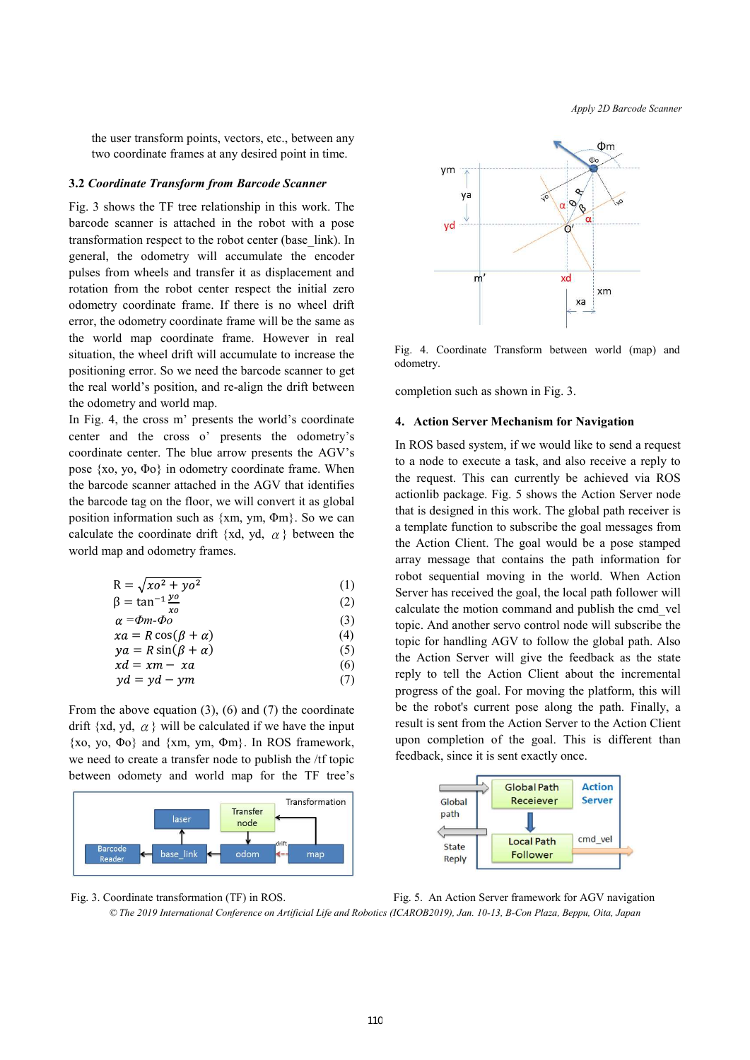*Apply 2D Barcode Scanner*

the user transform points, vectors, etc., between any two coordinate frames at any desired point in time.

#### **3.2** *Coordinate Transform from Barcode Scanner*

Fig. 3 shows the TF tree relationship in this work. The barcode scanner is attached in the robot with a pose transformation respect to the robot center (base\_link). In general, the odometry will accumulate the encoder pulses from wheels and transfer it as displacement and rotation from the robot center respect the initial zero odometry coordinate frame. If there is no wheel drift error, the odometry coordinate frame will be the same as the world map coordinate frame. However in real situation, the wheel drift will accumulate to increase the positioning error. So we need the barcode scanner to get the real world's position, and re-align the drift between the odometry and world map.

In Fig. 4, the cross m' presents the world's coordinate center and the cross o' presents the odometry's coordinate center. The blue arrow presents the AGV's pose {xo, yo, Φo} in odometry coordinate frame. When the barcode scanner attached in the AGV that identifies the barcode tag on the floor, we will convert it as global position information such as {xm, ym, Φm}. So we can calculate the coordinate drift {xd, yd,  $\alpha$  } between the world map and odometry frames.

$$
R = \sqrt{x^2 + y^2} \tag{1}
$$

$$
\beta = \tan^{-1} \frac{y \, \theta}{x \, \theta} \tag{2}
$$

$$
\alpha = \Phi m - \Phi o \tag{3}
$$

$$
xa = R\cos(\beta + \alpha) \tag{4}
$$

$$
ya = R\sin(\beta + \alpha) \tag{5}
$$
  
 
$$
xd = xm - ra \tag{6}
$$

$$
yd = yd - ym
$$
 (7)

From the above equation (3), (6) and (7) the coordinate drift {xd, yd,  $\alpha$  } will be calculated if we have the input  $\{xo, yo, \Phi o\}$  and  $\{xm, ym, \Phi m\}$ . In ROS framework, we need to create a transfer node to publish the /tf topic between odomety and world map for the TF tree's





Fig. 4. Coordinate Transform between world (map) and odometry.

completion such as shown in Fig. 3.

#### **4. Action Server Mechanism for Navigation**

In ROS based system, if we would like to send a request to a node to execute a task, and also receive a reply to the request. This can currently be achieved via ROS actionlib package. Fig. 5 shows the Action Server node that is designed in this work. The global path receiver is a template function to subscribe the goal messages from the Action Client. The goal would be a pose stamped array message that contains the path information for robot sequential moving in the world. When Action Server has received the goal, the local path follower will calculate the motion command and publish the cmd\_vel topic. And another servo control node will subscribe the topic for handling AGV to follow the global path. Also the Action Server will give the feedback as the state reply to tell the Action Client about the incremental progress of the goal. For moving the platform, this will be the robot's current pose along the path. Finally, a result is sent from the Action Server to the Action Client upon completion of the goal. This is different than feedback, since it is sent exactly once.